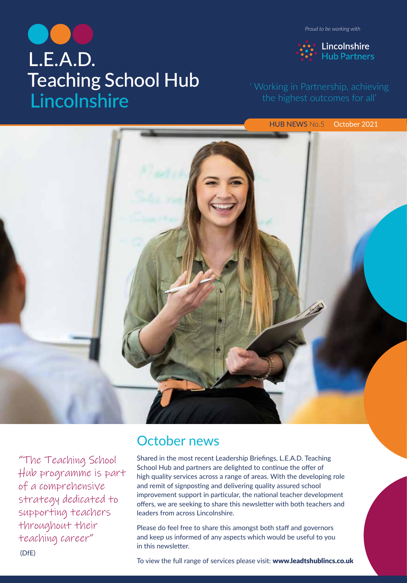# L.E.A.D. **Teaching School Hub** Lincolnshire

*Proud to be working with*



HUB NEWS No.5 October 2021



"The Teaching School Hub programme is part of a comprehensive strategy dedicated to supporting teachers throughout their teaching career" (DfE)

# October news

Shared in the most recent Leadership Briefings, L.E.A.D. Teaching School Hub and partners are delighted to continue the offer of high quali[ty services across a range of areas. With the developing role](https://www.leadtshublincs.co.uk/)  and remit of signposting and delivering quality assured school improvement support in particular, the national teacher development offers, we are seeking to share this newsletter with both teachers and leaders from across Lincolnshire.

Please do feel free to share this amongst both staff and governors and keep us informed of any aspects which would be useful to you in this newsletter.

To view the full range of services please visit: www.leadtshublincs.co.uk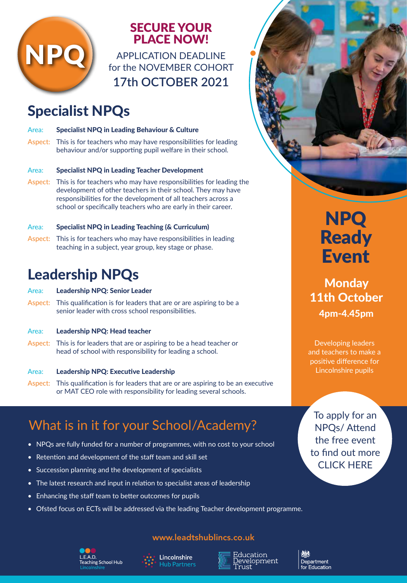

# SECURE YOUR PLACE NOW!

APPLICATION DEADLINE for the NOVEMBER COHORT **17th OCTOBER 2021**

# Specialist NPQs

| Area: | <b>Specialist NPQ in Leading Behaviour &amp; Culture</b>               |
|-------|------------------------------------------------------------------------|
|       | Aspect: This is for teachers who may have responsibilities for leading |
|       | behaviour and/or supporting pupil welfare in their school.             |

### Area: Specialist NPQ in Leading Teacher Development

Aspect: This is for teachers who may have responsibilities for leading the development of other teachers in their school. They may have responsibilities for the development of all teachers across a school or specifically teachers who are early in their career.

### Area: Specialist NPQ in Leading Teaching (& Curriculum)

Aspect: This is for teachers who may have responsibilities in leading teaching in a subject, year group, key stage or phase.

# Leadership NPQs

### Area: Leadership NPQ: Senior Leader

Aspect: This qualification is for leaders that are or are aspiring to be a senior leader with cross school responsibilities.

### Area: Leadership NPQ: Head teacher

Aspect: This is for leaders that are or aspiring to be a head teacher or head of school with responsibility for leading a school.

### Area: Leadership NPQ: Executive Leadership

Aspect: This qualification is for leaders that are or are aspiring to be an executive or MAT CEO role with responsibility for leading several schools.

# What is in it for your School/Academy?

- NPQs are fully funded for a number of programmes, with no cost to your school
- Retention and development of the staff team and skill set
- Succession planning and the development of specialists
- The latest research and input in relation to specialist areas of leadership
- Enhancing the staff team to better outcomes for pupils
- Ofsted focus on ECTs will be addressed via the leading Teacher development programme.

### www.leadtshublincs.co.uk





Education <u>)</u>evelopment ust

Department Education



**Monday** 11th October 4pm-4.45pm

Developing leaders and teachers to make a positive difference for Lincolnshire pupils

To apply for an NPQs/ Attend the free event [to find out more](https://www.leadtshublincs.co.uk/page/?title=NPQ+Programmes&pid=23)  CLICK HERE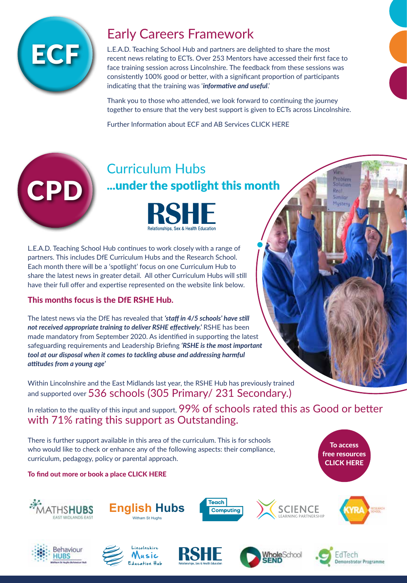

# Early Careers Framework

L.E.A.D. Teaching School Hub and partners are delighted to share the most [recent news relating to ECTs. Over 253 Mentors have accessed their first fac](https://www.leadtshublincs.co.uk/page/?title=ITT%2FEarly+Career%2FAB&pid=7)e to face training session across Lincolnshire. The feedback from these sessions was consistently 100% good or better, with a significant proportion of participants indicating that the training was '*informative and useful*.'

Thank you to those who attended, we look forward to continuing the journey together to ensure that the very best support is given to ECTs across Lincolnshire.

Further Information about ECF and AB Services CLICK HERE

# CPD

# Curriculum Hubs .[..under the spotlight this m](https://www.leadtshublincs.co.uk/page/?title=RSHE+Hub&pid=34)onth



L.E.A.D. Teaching School Hub continues to work closely with a range of partners. This includes DfE Curriculum Hubs and the Research School. Each month there will be a 'spotlight' focus on one Curriculum Hub to share the latest news in greater detail. All other Curriculum Hubs will still have their full offer and expertise represented on the website link below.

### This months focus is the DfE RSHE Hub.

The latest news via the DfE has revealed that *'staff in 4/5 schools' have still not received appropriate training to deliver RSHE effectively.'* RSHE has been made mandatory from September 2020. As identified in supporting the latest safeguarding requirements and Leadership Briefing *'RSHE is the most important tool at our disposal when it comes to tackling abuse and addressing harmful attitudes from a young age'* 

Within Lincolnshire and the East Midlands last year, the RSHE Hub has previously trained and supported over 536 schools (305 Primary/ 231 Secondary.)

In relation to the quality of this input and support, 99% of schools rated this as Good or better [with 71% rating this support as Outs](https://www.leadtshublincs.co.uk/page/?title=Booking+Programmes&pid=11&courseType=13)tanding.

There is further support available in this area of the curriculum. This is for schools who would like to check or enhance any of the following aspects: their compliance, curriculum, pedagogy, policy or parental approach.













To access [free resources](https://www.leadtshublincs.co.uk/page/?title=RSHE+Hub&pid=34)  CLICK HERE

Problem Solution Real: Similar Musteru